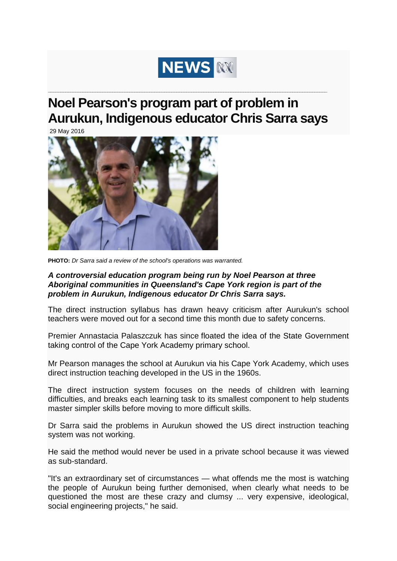

## **Noel Pearson's program part of problem in Aurukun, Indigenous educator Chris Sarra says**

**\_\_\_\_\_\_\_\_\_\_\_\_\_\_\_\_\_\_\_\_\_\_\_\_\_\_\_\_\_\_\_\_\_\_\_\_\_\_\_\_\_\_\_\_\_\_\_\_\_\_\_\_\_\_\_\_\_\_\_\_\_\_\_\_\_\_\_\_\_\_\_\_\_\_\_\_\_\_\_\_\_\_\_\_\_\_\_\_\_\_\_\_\_\_\_\_\_\_\_\_\_\_\_\_\_\_\_\_\_\_\_\_\_**

29 May 2016



**PHOTO:** *Dr Sarra said a review of the school's operations was warranted.* 

## *A controversial education program being run by Noel Pearson at three Aboriginal communities in Queensland's Cape York region is part of the problem in Aurukun, Indigenous educator Dr Chris Sarra says.*

The direct instruction syllabus has drawn heavy criticism after Aurukun's school teachers were moved out for a second time this month due to safety concerns.

Premier Annastacia Palaszczuk has since floated the idea of the State Government taking control of the Cape York Academy primary school.

Mr Pearson manages the school at Aurukun via his Cape York Academy, which uses direct instruction teaching developed in the US in the 1960s.

The direct instruction system focuses on the needs of children with learning difficulties, and breaks each learning task to its smallest component to help students master simpler skills before moving to more difficult skills.

Dr Sarra said the problems in Aurukun showed the US direct instruction teaching system was not working.

He said the method would never be used in a private school because it was viewed as sub-standard.

"It's an extraordinary set of circumstances — what offends me the most is watching the people of Aurukun being further demonised, when clearly what needs to be questioned the most are these crazy and clumsy ... very expensive, ideological, social engineering projects," he said.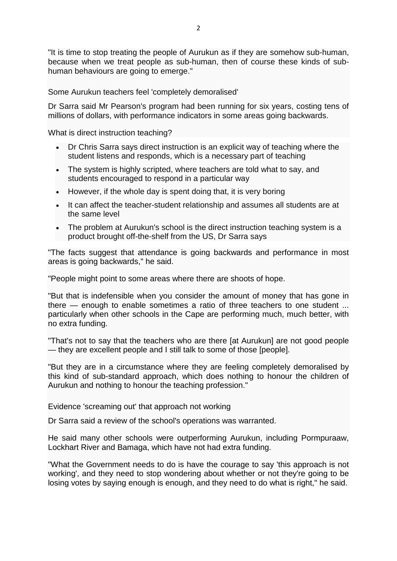"It is time to stop treating the people of Aurukun as if they are somehow sub-human, because when we treat people as sub-human, then of course these kinds of subhuman behaviours are going to emerge."

Some Aurukun teachers feel 'completely demoralised'

Dr Sarra said Mr Pearson's program had been running for six years, costing tens of millions of dollars, with performance indicators in some areas going backwards.

What is direct instruction teaching?

- Dr Chris Sarra says direct instruction is an explicit way of teaching where the student listens and responds, which is a necessary part of teaching
- The system is highly scripted, where teachers are told what to say, and students encouraged to respond in a particular way
- However, if the whole day is spent doing that, it is very boring
- It can affect the teacher-student relationship and assumes all students are at the same level
- The problem at Aurukun's school is the direct instruction teaching system is a product brought off-the-shelf from the US, Dr Sarra says

"The facts suggest that attendance is going backwards and performance in most areas is going backwards," he said.

"People might point to some areas where there are shoots of hope.

"But that is indefensible when you consider the amount of money that has gone in there — enough to enable sometimes a ratio of three teachers to one student ... particularly when other schools in the Cape are performing much, much better, with no extra funding.

"That's not to say that the teachers who are there [at Aurukun] are not good people — they are excellent people and I still talk to some of those [people].

"But they are in a circumstance where they are feeling completely demoralised by this kind of sub-standard approach, which does nothing to honour the children of Aurukun and nothing to honour the teaching profession."

Evidence 'screaming out' that approach not working

Dr Sarra said a review of the school's operations was warranted.

He said many other schools were outperforming Aurukun, including Pormpuraaw, Lockhart River and Bamaga, which have not had extra funding.

"What the Government needs to do is have the courage to say 'this approach is not working', and they need to stop wondering about whether or not they're going to be losing votes by saying enough is enough, and they need to do what is right," he said.